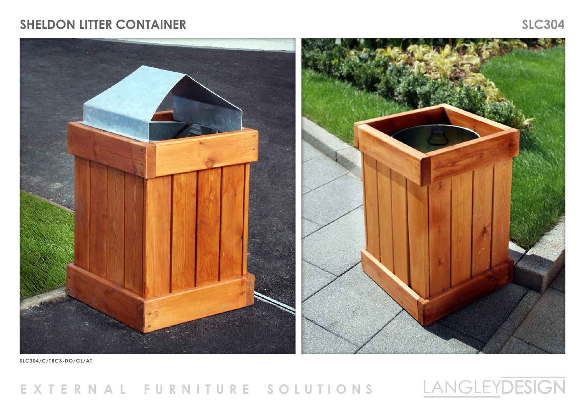## **SHELDON LITTER CONTAINER SLC304**



**SLC304/C/TRC3-DO/GL/AT**

## EXTERNAL FURNITURE SOLUTIONS